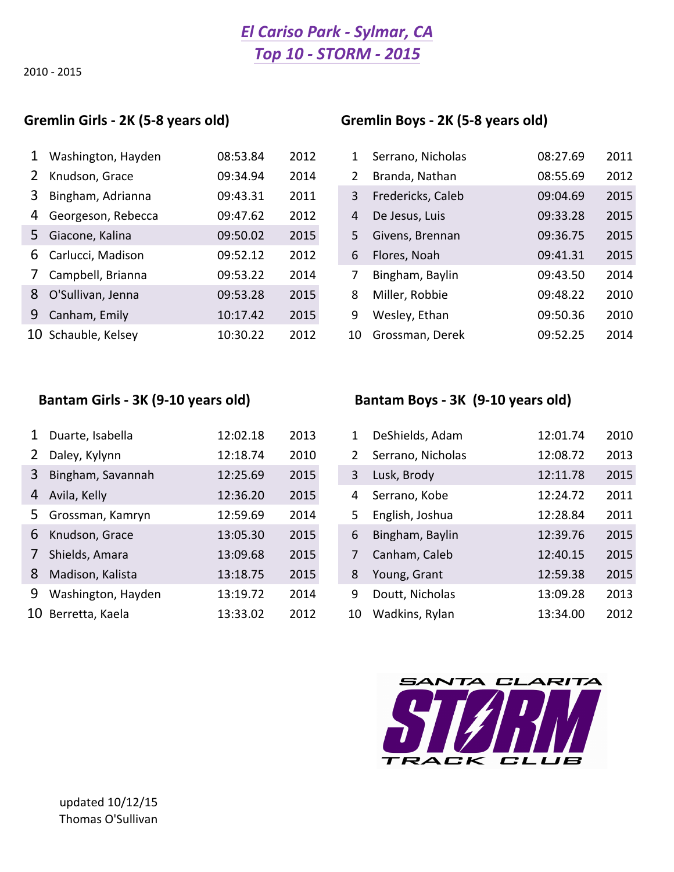# *El Cariso Park - Sylmar, CA Top 10 - STORM - 2015*

2010 - 2015

| $\mathbf{1}$   | Washington, Hayden  | 08:53.84 | 2012 | 1  | Serrano, Nicholas | 08:27.69 | 2011 |
|----------------|---------------------|----------|------|----|-------------------|----------|------|
| 2              | Knudson, Grace      | 09:34.94 | 2014 | 2  | Branda, Nathan    | 08:55.69 | 2012 |
| 3              | Bingham, Adrianna   | 09:43.31 | 2011 | 3  | Fredericks, Caleb | 09:04.69 | 2015 |
| 4              | Georgeson, Rebecca  | 09:47.62 | 2012 | 4  | De Jesus, Luis    | 09:33.28 | 2015 |
| 5              | Giacone, Kalina     | 09:50.02 | 2015 | 5. | Givens, Brennan   | 09:36.75 | 2015 |
| 6              | Carlucci, Madison   | 09:52.12 | 2012 | 6  | Flores, Noah      | 09:41.31 | 2015 |
| 7 <sup>7</sup> | Campbell, Brianna   | 09:53.22 | 2014 | 7  | Bingham, Baylin   | 09:43.50 | 2014 |
| 8              | O'Sullivan, Jenna   | 09:53.28 | 2015 | 8  | Miller, Robbie    | 09:48.22 | 2010 |
|                | 9 Canham, Emily     | 10:17.42 | 2015 | 9  | Wesley, Ethan     | 09:50.36 | 2010 |
|                | 10 Schauble, Kelsey | 10:30.22 | 2012 | 10 | Grossman, Derek   | 09:52.25 | 2014 |

### Gremlin Girls - 2K (5-8 years old) Gremlin Boys - 2K (5-8 years old)

| $\mathbf{1}$   | Washington, Hayden  | 08:53.84 | 2012 |    | Serrano, Nicholas | 08:27.69 | 2011 |
|----------------|---------------------|----------|------|----|-------------------|----------|------|
| 2              | Knudson, Grace      | 09:34.94 | 2014 | 2  | Branda, Nathan    | 08:55.69 | 2012 |
| 3              | Bingham, Adrianna   | 09:43.31 | 2011 | 3  | Fredericks, Caleb | 09:04.69 | 2015 |
| 4              | Georgeson, Rebecca  | 09:47.62 | 2012 | 4  | De Jesus, Luis    | 09:33.28 | 2015 |
|                | 5 Giacone, Kalina   | 09:50.02 | 2015 | 5. | Givens, Brennan   | 09:36.75 | 2015 |
|                | 6 Carlucci, Madison | 09:52.12 | 2012 | 6  | Flores, Noah      | 09:41.31 | 2015 |
| 7 <sup>7</sup> | Campbell, Brianna   | 09:53.22 | 2014 |    | Bingham, Baylin   | 09:43.50 | 2014 |
|                | 8 O'Sullivan, Jenna | 09:53.28 | 2015 | 8  | Miller, Robbie    | 09:48.22 | 2010 |
|                | 9 Canham, Emily     | 10:17.42 | 2015 | 9  | Wesley, Ethan     | 09:50.36 | 2010 |
|                | 10 Schauble, Kelsey | 10:30.22 | 2012 | 10 | Grossman, Derek   | 09:52.25 | 2014 |

| $\mathbf{1}$   | Duarte, Isabella   | 12:02.18 | 2013 | 1  | DeShields, Adam   | 12:01.74 | 2010 |
|----------------|--------------------|----------|------|----|-------------------|----------|------|
| 2              | Daley, Kylynn      | 12:18.74 | 2010 | 2  | Serrano, Nicholas | 12:08.72 | 2013 |
| 3              | Bingham, Savannah  | 12:25.69 | 2015 | 3  | Lusk, Brody       | 12:11.78 | 2015 |
|                | 4 Avila, Kelly     | 12:36.20 | 2015 | 4  | Serrano, Kobe     | 12:24.72 | 2011 |
|                | 5 Grossman, Kamryn | 12:59.69 | 2014 | 5  | English, Joshua   | 12:28.84 | 2011 |
| 6              | Knudson, Grace     | 13:05.30 | 2015 | 6  | Bingham, Baylin   | 12:39.76 | 2015 |
| 7 <sup>1</sup> | Shields, Amara     | 13:09.68 | 2015 | 7  | Canham, Caleb     | 12:40.15 | 2015 |
| 8              | Madison, Kalista   | 13:18.75 | 2015 | 8  | Young, Grant      | 12:59.38 | 2015 |
| 9              | Washington, Hayden | 13:19.72 | 2014 | 9  | Doutt, Nicholas   | 13:09.28 | 2013 |
|                | 10 Berretta, Kaela | 13:33.02 | 2012 | 10 | Wadkins, Rylan    | 13:34.00 | 2012 |

### Bantam Girls - 3K (9-10 years old) Bantam Boys - 3K (9-10 years old)

| 1  | DeShields, Adam   | 12:01.74 | 2010 |
|----|-------------------|----------|------|
| 2  | Serrano, Nicholas | 12:08.72 | 2013 |
| 3  | Lusk, Brody       | 12:11.78 | 2015 |
| 4  | Serrano, Kobe     | 12:24.72 | 2011 |
| 5  | English, Joshua   | 12:28.84 | 2011 |
| 6  | Bingham, Baylin   | 12:39.76 | 2015 |
| 7  | Canham, Caleb     | 12:40.15 | 2015 |
| 8  | Young, Grant      | 12:59.38 | 2015 |
| 9  | Doutt, Nicholas   | 13:09.28 | 2013 |
| 10 | Wadkins, Rylan    | 13:34.00 | 2012 |

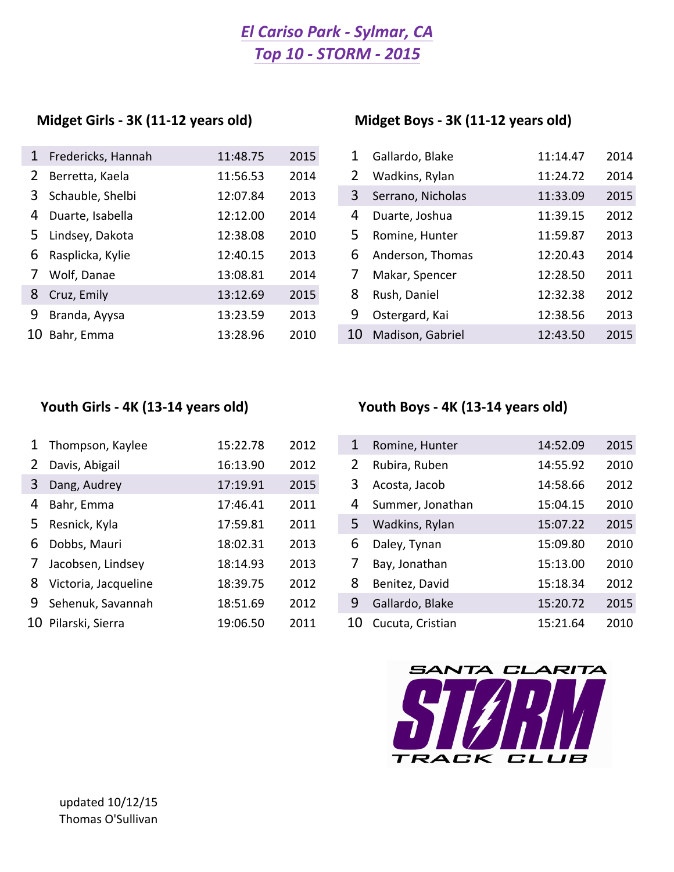# *Top 10 - STORM - 2015 El Cariso Park - Sylmar, CA*

### Midget Girls - 3K (11-12 years old) Midget Boys - 3K (11-12 years old)

| 1              | Fredericks, Hannah | 11:48.75 | 2015 | 1  | Gallardo, Blake   | 11:14.47 | 2014 |
|----------------|--------------------|----------|------|----|-------------------|----------|------|
| $2^{\circ}$    | Berretta, Kaela    | 11:56.53 | 2014 | 2  | Wadkins, Rylan    | 11:24.72 | 2014 |
|                | 3 Schauble, Shelbi | 12:07.84 | 2013 | 3  | Serrano, Nicholas | 11:33.09 | 2015 |
|                | 4 Duarte, Isabella | 12:12.00 | 2014 | 4  | Duarte, Joshua    | 11:39.15 | 2012 |
| 5              | Lindsey, Dakota    | 12:38.08 | 2010 | 5. | Romine, Hunter    | 11:59.87 | 2013 |
| 6              | Rasplicka, Kylie   | 12:40.15 | 2013 | 6  | Anderson, Thomas  | 12:20.43 | 2014 |
| 7 <sup>7</sup> | Wolf, Danae        | 13:08.81 | 2014 | 7  | Makar, Spencer    | 12:28.50 | 2011 |
|                | 8 Cruz, Emily      | 13:12.69 | 2015 | 8  | Rush, Daniel      | 12:32.38 | 2012 |
| 9              | Branda, Ayysa      | 13:23.59 | 2013 | 9  | Ostergard, Kai    | 12:38.56 | 2013 |
|                | 10 Bahr, Emma      | 13:28.96 | 2010 | 10 | Madison, Gabriel  | 12:43.50 | 2015 |

|    | Gallardo, Blake   | 11:14.47 | 2014 |
|----|-------------------|----------|------|
| 2  | Wadkins, Rylan    | 11:24.72 | 2014 |
| 3  | Serrano, Nicholas | 11:33.09 | 2015 |
| 4  | Duarte, Joshua    | 11:39.15 | 2012 |
| 5  | Romine, Hunter    | 11:59.87 | 2013 |
| 6  | Anderson, Thomas  | 12:20.43 | 2014 |
| 7  | Makar, Spencer    | 12:28.50 | 2011 |
| 8  | Rush, Daniel      | 12:32.38 | 2012 |
| 9  | Ostergard, Kai    | 12:38.56 | 2013 |
| 10 | Madison, Gabriel  | 12:43.50 | 2015 |

| $\mathbf{1}$   | Thompson, Kaylee     | 15:22.78 | 2012 | 1  | Romine, Hunter   | 14:52.09 | 2015 |
|----------------|----------------------|----------|------|----|------------------|----------|------|
| 2              | Davis, Abigail       | 16:13.90 | 2012 | 2  | Rubira, Ruben    | 14:55.92 | 2010 |
| 3              | Dang, Audrey         | 17:19.91 | 2015 | 3  | Acosta, Jacob    | 14:58.66 | 2012 |
| 4              | Bahr, Emma           | 17:46.41 | 2011 | 4  | Summer, Jonathan | 15:04.15 | 2010 |
|                | 5 Resnick, Kyla      | 17:59.81 | 2011 | 5  | Wadkins, Rylan   | 15:07.22 | 2015 |
| 6              | Dobbs, Mauri         | 18:02.31 | 2013 | 6  | Daley, Tynan     | 15:09.80 | 2010 |
| 7 <sup>7</sup> | Jacobsen, Lindsey    | 18:14.93 | 2013 | 7  | Bay, Jonathan    | 15:13.00 | 2010 |
| 8              | Victoria, Jacqueline | 18:39.75 | 2012 | 8  | Benitez, David   | 15:18.34 | 2012 |
|                | 9 Sehenuk, Savannah  | 18:51.69 | 2012 | 9  | Gallardo, Blake  | 15:20.72 | 2015 |
|                | 10 Pilarski, Sierra  | 19:06.50 | 2011 | 10 | Cucuta, Cristian | 15:21.64 | 2010 |

# Youth Girls - 4K (13-14 years old) **Youth Boys** - 4K (13-14 years old)

| 1  | Romine, Hunter   | 14:52.09 | 2015 |
|----|------------------|----------|------|
| 2  | Rubira, Ruben    | 14:55.92 | 2010 |
| 3  | Acosta, Jacob    | 14:58.66 | 2012 |
| 4  | Summer, Jonathan | 15:04.15 | 2010 |
| 5  | Wadkins, Rylan   | 15:07.22 | 2015 |
| 6  | Daley, Tynan     | 15:09.80 | 2010 |
| 7  | Bay, Jonathan    | 15:13.00 | 2010 |
| 8  | Benitez, David   | 15:18.34 | 2012 |
| 9  | Gallardo, Blake  | 15:20.72 | 2015 |
| 10 | Cucuta, Cristian | 15:21.64 | 2010 |